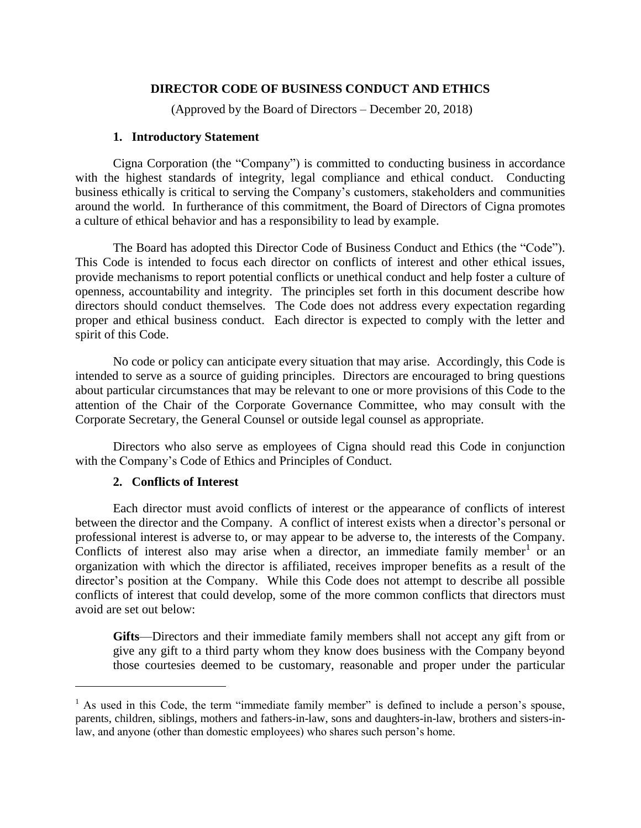## **DIRECTOR CODE OF BUSINESS CONDUCT AND ETHICS**

(Approved by the Board of Directors – December 20, 2018)

#### **1. Introductory Statement**

Cigna Corporation (the "Company") is committed to conducting business in accordance with the highest standards of integrity, legal compliance and ethical conduct. Conducting business ethically is critical to serving the Company's customers, stakeholders and communities around the world. In furtherance of this commitment, the Board of Directors of Cigna promotes a culture of ethical behavior and has a responsibility to lead by example.

The Board has adopted this Director Code of Business Conduct and Ethics (the "Code"). This Code is intended to focus each director on conflicts of interest and other ethical issues, provide mechanisms to report potential conflicts or unethical conduct and help foster a culture of openness, accountability and integrity. The principles set forth in this document describe how directors should conduct themselves. The Code does not address every expectation regarding proper and ethical business conduct. Each director is expected to comply with the letter and spirit of this Code.

No code or policy can anticipate every situation that may arise. Accordingly, this Code is intended to serve as a source of guiding principles. Directors are encouraged to bring questions about particular circumstances that may be relevant to one or more provisions of this Code to the attention of the Chair of the Corporate Governance Committee, who may consult with the Corporate Secretary, the General Counsel or outside legal counsel as appropriate.

Directors who also serve as employees of Cigna should read this Code in conjunction with the Company's Code of Ethics and Principles of Conduct.

### **2. Conflicts of Interest**

 $\overline{a}$ 

Each director must avoid conflicts of interest or the appearance of conflicts of interest between the director and the Company. A conflict of interest exists when a director's personal or professional interest is adverse to, or may appear to be adverse to, the interests of the Company. Conflicts of interest also may arise when a director, an immediate family member<sup>1</sup> or an organization with which the director is affiliated, receives improper benefits as a result of the director's position at the Company. While this Code does not attempt to describe all possible conflicts of interest that could develop, some of the more common conflicts that directors must avoid are set out below:

**Gifts**—Directors and their immediate family members shall not accept any gift from or give any gift to a third party whom they know does business with the Company beyond those courtesies deemed to be customary, reasonable and proper under the particular

 $<sup>1</sup>$  As used in this Code, the term "immediate family member" is defined to include a person's spouse,</sup> parents, children, siblings, mothers and fathers-in-law, sons and daughters-in-law, brothers and sisters-inlaw, and anyone (other than domestic employees) who shares such person's home.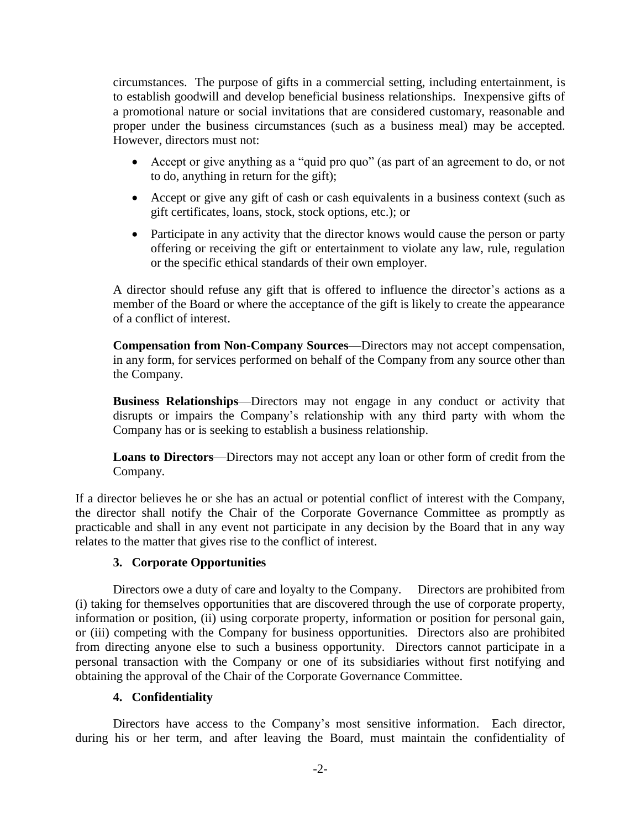circumstances. The purpose of gifts in a commercial setting, including entertainment, is to establish goodwill and develop beneficial business relationships. Inexpensive gifts of a promotional nature or social invitations that are considered customary, reasonable and proper under the business circumstances (such as a business meal) may be accepted. However, directors must not:

- Accept or give anything as a "quid pro quo" (as part of an agreement to do, or not to do, anything in return for the gift);
- Accept or give any gift of cash or cash equivalents in a business context (such as gift certificates, loans, stock, stock options, etc.); or
- Participate in any activity that the director knows would cause the person or party offering or receiving the gift or entertainment to violate any law, rule, regulation or the specific ethical standards of their own employer.

A director should refuse any gift that is offered to influence the director's actions as a member of the Board or where the acceptance of the gift is likely to create the appearance of a conflict of interest.

**Compensation from Non-Company Sources**—Directors may not accept compensation, in any form, for services performed on behalf of the Company from any source other than the Company.

**Business Relationships**—Directors may not engage in any conduct or activity that disrupts or impairs the Company's relationship with any third party with whom the Company has or is seeking to establish a business relationship.

**Loans to Directors**—Directors may not accept any loan or other form of credit from the Company.

If a director believes he or she has an actual or potential conflict of interest with the Company, the director shall notify the Chair of the Corporate Governance Committee as promptly as practicable and shall in any event not participate in any decision by the Board that in any way relates to the matter that gives rise to the conflict of interest.

# **3. Corporate Opportunities**

Directors owe a duty of care and loyalty to the Company. Directors are prohibited from (i) taking for themselves opportunities that are discovered through the use of corporate property, information or position, (ii) using corporate property, information or position for personal gain, or (iii) competing with the Company for business opportunities. Directors also are prohibited from directing anyone else to such a business opportunity. Directors cannot participate in a personal transaction with the Company or one of its subsidiaries without first notifying and obtaining the approval of the Chair of the Corporate Governance Committee.

# **4. Confidentiality**

Directors have access to the Company's most sensitive information. Each director, during his or her term, and after leaving the Board, must maintain the confidentiality of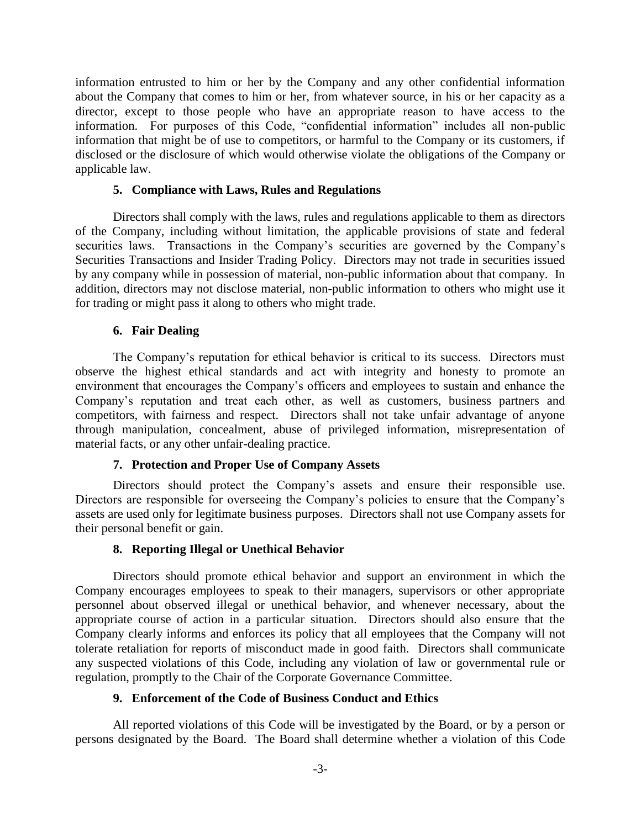information entrusted to him or her by the Company and any other confidential information about the Company that comes to him or her, from whatever source, in his or her capacity as a director, except to those people who have an appropriate reason to have access to the information. For purposes of this Code, "confidential information" includes all non-public information that might be of use to competitors, or harmful to the Company or its customers, if disclosed or the disclosure of which would otherwise violate the obligations of the Company or applicable law.

### **5. Compliance with Laws, Rules and Regulations**

Directors shall comply with the laws, rules and regulations applicable to them as directors of the Company, including without limitation, the applicable provisions of state and federal securities laws. Transactions in the Company's securities are governed by the Company's Securities Transactions and Insider Trading Policy. Directors may not trade in securities issued by any company while in possession of material, non-public information about that company. In addition, directors may not disclose material, non-public information to others who might use it for trading or might pass it along to others who might trade.

## **6. Fair Dealing**

The Company's reputation for ethical behavior is critical to its success. Directors must observe the highest ethical standards and act with integrity and honesty to promote an environment that encourages the Company's officers and employees to sustain and enhance the Company's reputation and treat each other, as well as customers, business partners and competitors, with fairness and respect. Directors shall not take unfair advantage of anyone through manipulation, concealment, abuse of privileged information, misrepresentation of material facts, or any other unfair-dealing practice.

### **7. Protection and Proper Use of Company Assets**

Directors should protect the Company's assets and ensure their responsible use. Directors are responsible for overseeing the Company's policies to ensure that the Company's assets are used only for legitimate business purposes. Directors shall not use Company assets for their personal benefit or gain.

# **8. Reporting Illegal or Unethical Behavior**

Directors should promote ethical behavior and support an environment in which the Company encourages employees to speak to their managers, supervisors or other appropriate personnel about observed illegal or unethical behavior, and whenever necessary, about the appropriate course of action in a particular situation. Directors should also ensure that the Company clearly informs and enforces its policy that all employees that the Company will not tolerate retaliation for reports of misconduct made in good faith. Directors shall communicate any suspected violations of this Code, including any violation of law or governmental rule or regulation, promptly to the Chair of the Corporate Governance Committee.

# **9. Enforcement of the Code of Business Conduct and Ethics**

All reported violations of this Code will be investigated by the Board, or by a person or persons designated by the Board. The Board shall determine whether a violation of this Code